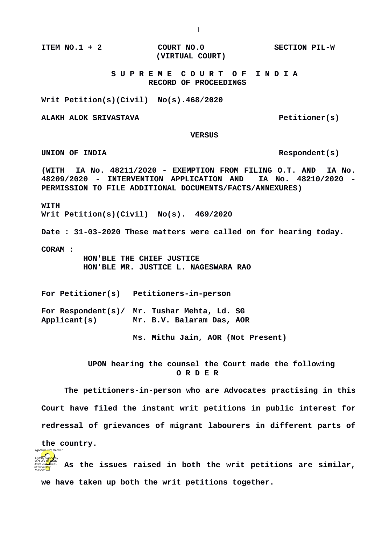**ITEM NO.1 + 2 COURT NO.0 SECTION PIL-W (VIRTUAL COURT)**

## **S U P R E M E C O U R T O F I N D I A RECORD OF PROCEEDINGS**

**Writ Petition(s)(Civil) No(s).468/2020**

**ALAKH ALOK SRIVASTAVA Petitioner(s)** 

 **VERSUS**

UNION OF INDIA  $\blacksquare$ 

**(WITH IA No. 48211/2020 - EXEMPTION FROM FILING O.T. AND IA No. 48209/2020 - INTERVENTION APPLICATION AND IA No. 48210/2020 - PERMISSION TO FILE ADDITIONAL DOCUMENTS/FACTS/ANNEXURES)**

**WITH** 

**Writ Petition(s)(Civil) No(s). 469/2020**

**Date : 31-03-2020 These matters were called on for hearing today.**

**CORAM :** 

**the country.** 

 **HON'BLE THE CHIEF JUSTICE HON'BLE MR. JUSTICE L. NAGESWARA RAO**

**For Petitioner(s) Petitioners-in-person**

**For Respondent(s)/ Mr. Tushar Mehta, Ld. SG Applicant(s) Mr. B.V. Balaram Das, AOR**

**Ms. Mithu Jain, AOR (Not Present)**

 **UPON hearing the counsel the Court made the following O R D E R**

**The petitioners-in-person who are Advocates practising in this Court have filed the instant writ petitions in public interest for redressal of grievances of migrant labourers in different parts of**

**As the issues raised in both the writ petitions are similar, we have taken up both the writ petitions together.**  Digitally signed by SANJAY <mark>KU</mark>MAR Date: 2020.03.31 20:37:49<sup>TST</sup> Reason: ure Not Verified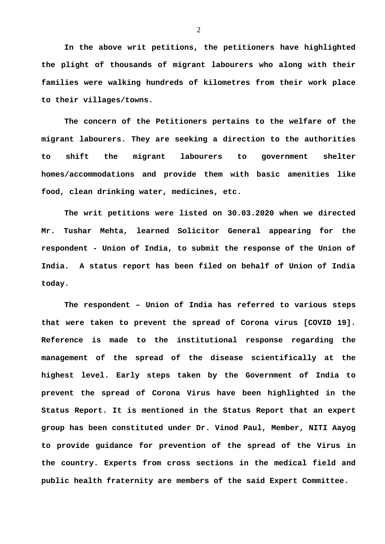**In the above writ petitions, the petitioners have highlighted the plight of thousands of migrant labourers who along with their families were walking hundreds of kilometres from their work place to their villages/towns.** 

**The concern of the Petitioners pertains to the welfare of the migrant labourers. They are seeking a direction to the authorities to shift the migrant labourers to government shelter homes/accommodations and provide them with basic amenities like food, clean drinking water, medicines, etc.** 

**The writ petitions were listed on 30.03.2020 when we directed Mr. Tushar Mehta, learned Solicitor General appearing for the respondent - Union of India, to submit the response of the Union of India. A status report has been filed on behalf of Union of India today.**

**The respondent – Union of India has referred to various steps that were taken to prevent the spread of Corona virus [COVID 19]. Reference is made to the institutional response regarding the management of the spread of the disease scientifically at the highest level. Early steps taken by the Government of India to prevent the spread of Corona Virus have been highlighted in the Status Report. It is mentioned in the Status Report that an expert group has been constituted under Dr. Vinod Paul, Member, NITI Aayog to provide guidance for prevention of the spread of the Virus in the country. Experts from cross sections in the medical field and public health fraternity are members of the said Expert Committee.**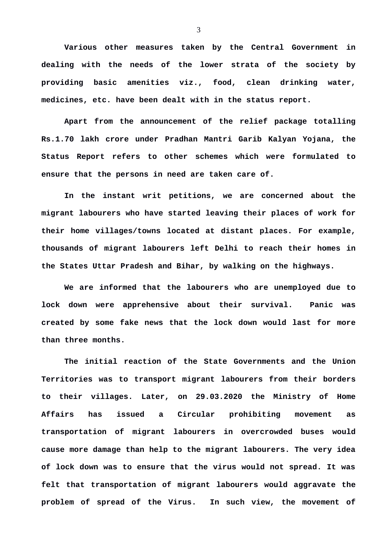**Various other measures taken by the Central Government in dealing with the needs of the lower strata of the society by providing basic amenities viz., food, clean drinking water, medicines, etc. have been dealt with in the status report.**

**Apart from the announcement of the relief package totalling Rs.1.70 lakh crore under Pradhan Mantri Garib Kalyan Yojana, the Status Report refers to other schemes which were formulated to ensure that the persons in need are taken care of.** 

**In the instant writ petitions, we are concerned about the migrant labourers who have started leaving their places of work for their home villages/towns located at distant places. For example, thousands of migrant labourers left Delhi to reach their homes in the States Uttar Pradesh and Bihar, by walking on the highways.** 

**We are informed that the labourers who are unemployed due to lock down were apprehensive about their survival. Panic was created by some fake news that the lock down would last for more than three months.** 

**The initial reaction of the State Governments and the Union Territories was to transport migrant labourers from their borders to their villages. Later, on 29.03.2020 the Ministry of Home Affairs has issued a Circular prohibiting movement as transportation of migrant labourers in overcrowded buses would cause more damage than help to the migrant labourers. The very idea of lock down was to ensure that the virus would not spread. It was felt that transportation of migrant labourers would aggravate the problem of spread of the Virus. In such view, the movement of**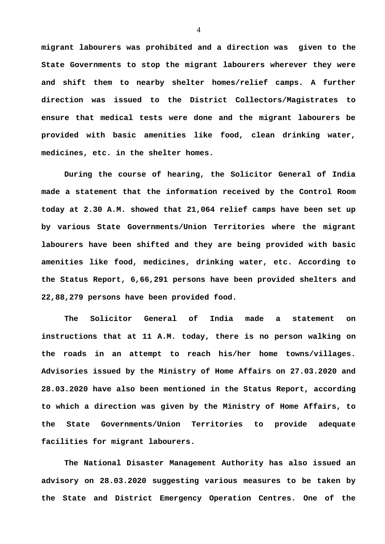**migrant labourers was prohibited and a direction was given to the State Governments to stop the migrant labourers wherever they were and shift them to nearby shelter homes/relief camps. A further direction was issued to the District Collectors/Magistrates to ensure that medical tests were done and the migrant labourers be provided with basic amenities like food, clean drinking water, medicines, etc. in the shelter homes.**

**During the course of hearing, the Solicitor General of India made a statement that the information received by the Control Room today at 2.30 A.M. showed that 21,064 relief camps have been set up by various State Governments/Union Territories where the migrant labourers have been shifted and they are being provided with basic amenities like food, medicines, drinking water, etc. According to the Status Report, 6,66,291 persons have been provided shelters and 22,88,279 persons have been provided food.** 

**The Solicitor General of India made a statement on instructions that at 11 A.M. today, there is no person walking on the roads in an attempt to reach his/her home towns/villages. Advisories issued by the Ministry of Home Affairs on 27.03.2020 and 28.03.2020 have also been mentioned in the Status Report, according to which a direction was given by the Ministry of Home Affairs, to the State Governments/Union Territories to provide adequate facilities for migrant labourers.** 

**The National Disaster Management Authority has also issued an advisory on 28.03.2020 suggesting various measures to be taken by the State and District Emergency Operation Centres. One of the**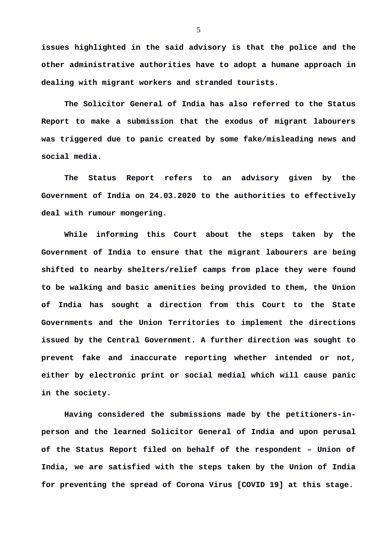**issues highlighted in the said advisory is that the police and the other administrative authorities have to adopt a humane approach in dealing with migrant workers and stranded tourists.**

**The Solicitor General of India has also referred to the Status Report to make a submission that the exodus of migrant labourers was triggered due to panic created by some fake/misleading news and social media.** 

**The Status Report refers to an advisory given by the Government of India on 24.03.2020 to the authorities to effectively deal with rumour mongering.** 

**While informing this Court about the steps taken by the Government of India to ensure that the migrant labourers are being shifted to nearby shelters/relief camps from place they were found to be walking and basic amenities being provided to them, the Union of India has sought a direction from this Court to the State Governments and the Union Territories to implement the directions issued by the Central Government. A further direction was sought to prevent fake and inaccurate reporting whether intended or not, either by electronic print or social medial which will cause panic in the society.** 

**Having considered the submissions made by the petitioners-inperson and the learned Solicitor General of India and upon perusal of the Status Report filed on behalf of the respondent – Union of India, we are satisfied with the steps taken by the Union of India for preventing the spread of Corona Virus [COVID 19] at this stage.**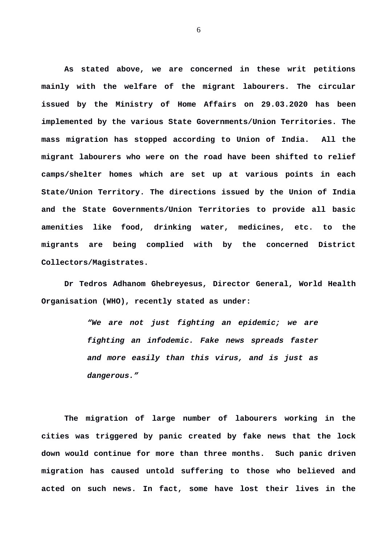**As stated above, we are concerned in these writ petitions mainly with the welfare of the migrant labourers. The circular issued by the Ministry of Home Affairs on 29.03.2020 has been implemented by the various State Governments/Union Territories. The mass migration has stopped according to Union of India. All the migrant labourers who were on the road have been shifted to relief camps/shelter homes which are set up at various points in each State/Union Territory. The directions issued by the Union of India and the State Governments/Union Territories to provide all basic amenities like food, drinking water, medicines, etc. to the migrants are being complied with by the concerned District Collectors/Magistrates.** 

**Dr Tedros Adhanom Ghebreyesus, Director General, World Health Organisation (WHO), recently stated as under:** 

> *"We are not just fighting an epidemic; we are fighting an infodemic. Fake news spreads faster and more easily than this virus, and is just as dangerous."*

**The migration of large number of labourers working in the cities was triggered by panic created by fake news that the lock down would continue for more than three months. Such panic driven migration has caused untold suffering to those who believed and acted on such news. In fact, some have lost their lives in the**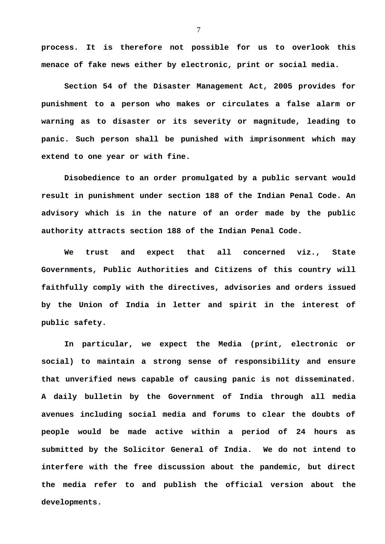**process. It is therefore not possible for us to overlook this menace of fake news either by electronic, print or social media.** 

**Section 54 of the Disaster Management Act, 2005 provides for punishment to a person who makes or circulates a false alarm or warning as to disaster or its severity or magnitude, leading to panic. Such person shall be punished with imprisonment which may extend to one year or with fine.** 

**Disobedience to an order promulgated by a public servant would result in punishment under section 188 of the Indian Penal Code. An advisory which is in the nature of an order made by the public authority attracts section 188 of the Indian Penal Code.**

**We trust and expect that all concerned viz., State Governments, Public Authorities and Citizens of this country will faithfully comply with the directives, advisories and orders issued by the Union of India in letter and spirit in the interest of public safety.** 

**In particular, we expect the Media (print, electronic or social) to maintain a strong sense of responsibility and ensure that unverified news capable of causing panic is not disseminated. A daily bulletin by the Government of India through all media avenues including social media and forums to clear the doubts of people would be made active within a period of 24 hours as submitted by the Solicitor General of India. We do not intend to interfere with the free discussion about the pandemic, but direct the media refer to and publish the official version about the developments.**